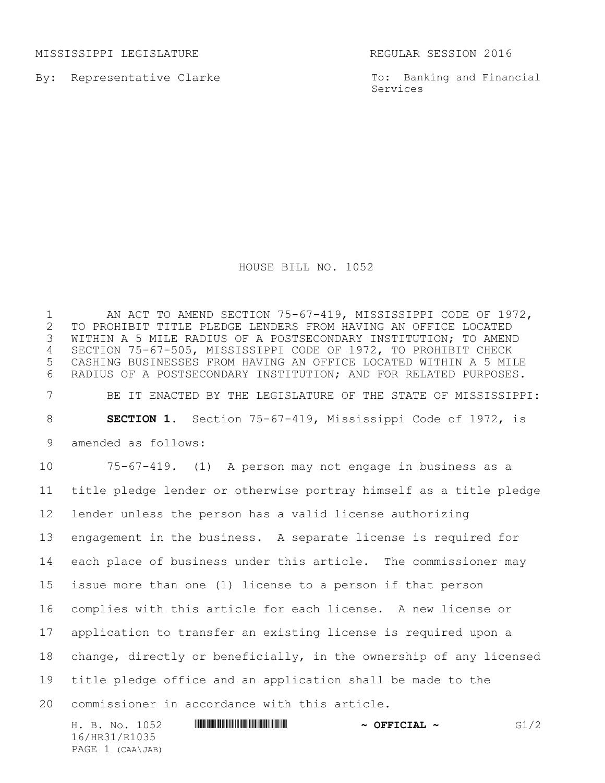MISSISSIPPI LEGISLATURE REGULAR SESSION 2016

By: Representative Clarke

To: Banking and Financial Services

## HOUSE BILL NO. 1052

1 AN ACT TO AMEND SECTION 75-67-419, MISSISSIPPI CODE OF 1972,<br>2 TO PROHIBIT TITLE PLEDGE LENDERS FROM HAVING AN OFFICE LOCATED 2 TO PROHIBIT TITLE PLEDGE LENDERS FROM HAVING AN OFFICE LOCATED<br>3 WITHIN A 5 MILE RADIUS OF A POSTSECONDARY INSTITUTION; TO AMENI WITHIN A 5 MILE RADIUS OF A POSTSECONDARY INSTITUTION; TO AMEND SECTION 75-67-505, MISSISSIPPI CODE OF 1972, TO PROHIBIT CHECK CASHING BUSINESSES FROM HAVING AN OFFICE LOCATED WITHIN A 5 MILE RADIUS OF A POSTSECONDARY INSTITUTION; AND FOR RELATED PURPOSES. BE IT ENACTED BY THE LEGISLATURE OF THE STATE OF MISSISSIPPI: **SECTION 1.** Section 75-67-419, Mississippi Code of 1972, is amended as follows: 75-67-419. (1) A person may not engage in business as a title pledge lender or otherwise portray himself as a title pledge lender unless the person has a valid license authorizing engagement in the business. A separate license is required for each place of business under this article. The commissioner may issue more than one (1) license to a person if that person complies with this article for each license. A new license or application to transfer an existing license is required upon a change, directly or beneficially, in the ownership of any licensed title pledge office and an application shall be made to the commissioner in accordance with this article.

H. B. No. 1052 \*HR31/R1035\* **~ OFFICIAL ~** G1/2 16/HR31/R1035 PAGE 1 (CAA\JAB)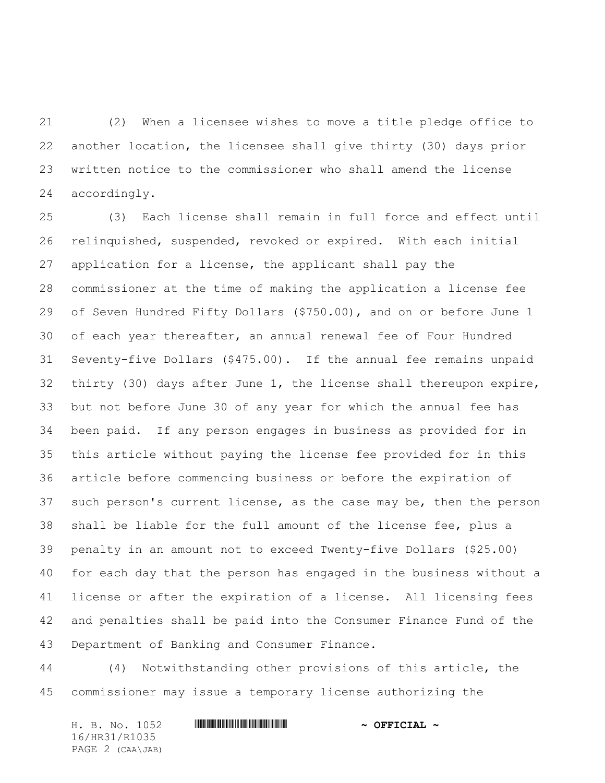(2) When a licensee wishes to move a title pledge office to another location, the licensee shall give thirty (30) days prior written notice to the commissioner who shall amend the license accordingly.

 (3) Each license shall remain in full force and effect until relinquished, suspended, revoked or expired. With each initial application for a license, the applicant shall pay the commissioner at the time of making the application a license fee of Seven Hundred Fifty Dollars (\$750.00), and on or before June 1 of each year thereafter, an annual renewal fee of Four Hundred Seventy-five Dollars (\$475.00). If the annual fee remains unpaid thirty (30) days after June 1, the license shall thereupon expire, but not before June 30 of any year for which the annual fee has been paid. If any person engages in business as provided for in this article without paying the license fee provided for in this article before commencing business or before the expiration of such person's current license, as the case may be, then the person shall be liable for the full amount of the license fee, plus a penalty in an amount not to exceed Twenty-five Dollars (\$25.00) for each day that the person has engaged in the business without a license or after the expiration of a license. All licensing fees and penalties shall be paid into the Consumer Finance Fund of the Department of Banking and Consumer Finance.

 (4) Notwithstanding other provisions of this article, the commissioner may issue a temporary license authorizing the

H. B. No. 1052 **. AND AND AN ADDRESS FOR A STATE OF PETCIAL ~** 16/HR31/R1035 PAGE 2 (CAA\JAB)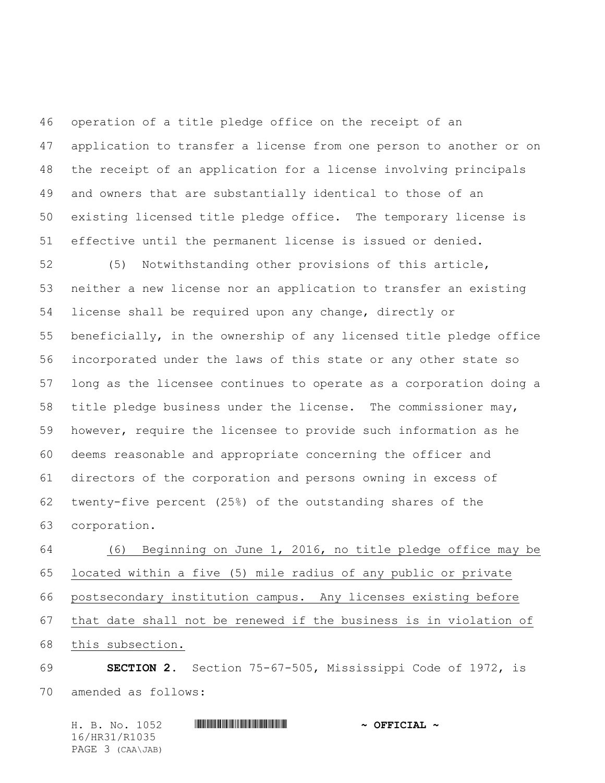operation of a title pledge office on the receipt of an application to transfer a license from one person to another or on the receipt of an application for a license involving principals and owners that are substantially identical to those of an existing licensed title pledge office. The temporary license is effective until the permanent license is issued or denied.

 (5) Notwithstanding other provisions of this article, neither a new license nor an application to transfer an existing license shall be required upon any change, directly or beneficially, in the ownership of any licensed title pledge office incorporated under the laws of this state or any other state so long as the licensee continues to operate as a corporation doing a title pledge business under the license. The commissioner may, however, require the licensee to provide such information as he deems reasonable and appropriate concerning the officer and directors of the corporation and persons owning in excess of twenty-five percent (25%) of the outstanding shares of the corporation.

 (6) Beginning on June 1, 2016, no title pledge office may be located within a five (5) mile radius of any public or private postsecondary institution campus. Any licenses existing before that date shall not be renewed if the business is in violation of this subsection.

 **SECTION 2.** Section 75-67-505, Mississippi Code of 1972, is amended as follows:

H. B. No. 1052 \*HR31/R1035\* **~ OFFICIAL ~** 16/HR31/R1035 PAGE 3 (CAA\JAB)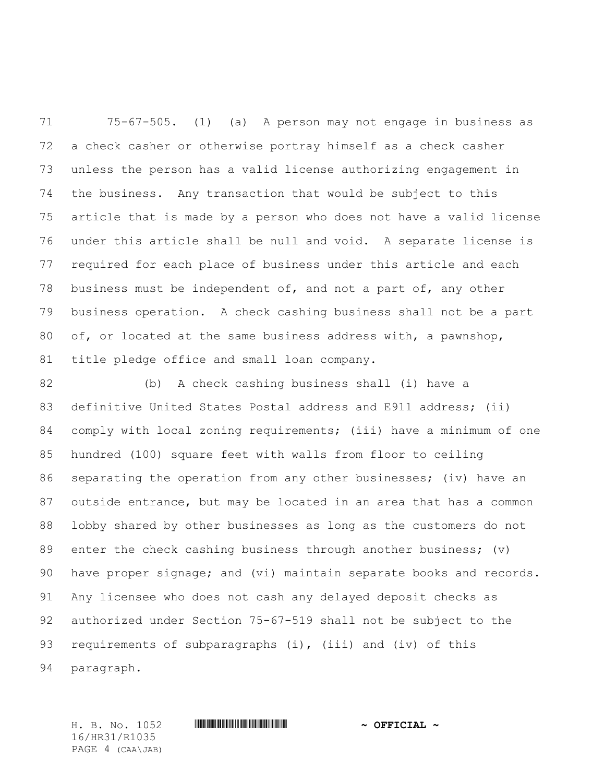75-67-505. (1) (a) A person may not engage in business as a check casher or otherwise portray himself as a check casher unless the person has a valid license authorizing engagement in the business. Any transaction that would be subject to this article that is made by a person who does not have a valid license under this article shall be null and void. A separate license is required for each place of business under this article and each business must be independent of, and not a part of, any other business operation. A check cashing business shall not be a part of, or located at the same business address with, a pawnshop, title pledge office and small loan company.

 (b) A check cashing business shall (i) have a definitive United States Postal address and E911 address; (ii) comply with local zoning requirements; (iii) have a minimum of one hundred (100) square feet with walls from floor to ceiling separating the operation from any other businesses; (iv) have an outside entrance, but may be located in an area that has a common lobby shared by other businesses as long as the customers do not 89 enter the check cashing business through another business; (v) have proper signage; and (vi) maintain separate books and records. Any licensee who does not cash any delayed deposit checks as authorized under Section 75-67-519 shall not be subject to the requirements of subparagraphs (i), (iii) and (iv) of this paragraph.

16/HR31/R1035 PAGE 4 (CAA\JAB)

H. B. No. 1052 \*HR31/R1035\* **~ OFFICIAL ~**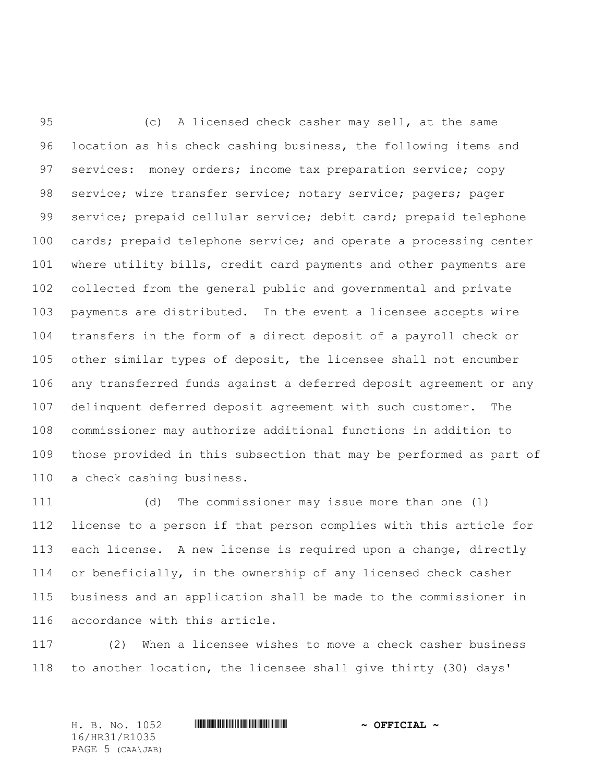(c) A licensed check casher may sell, at the same location as his check cashing business, the following items and services: money orders; income tax preparation service; copy 98 service; wire transfer service; notary service; pagers; pager service; prepaid cellular service; debit card; prepaid telephone 100 cards; prepaid telephone service; and operate a processing center where utility bills, credit card payments and other payments are collected from the general public and governmental and private payments are distributed. In the event a licensee accepts wire transfers in the form of a direct deposit of a payroll check or other similar types of deposit, the licensee shall not encumber any transferred funds against a deferred deposit agreement or any delinquent deferred deposit agreement with such customer. The commissioner may authorize additional functions in addition to those provided in this subsection that may be performed as part of a check cashing business.

 (d) The commissioner may issue more than one (1) license to a person if that person complies with this article for each license. A new license is required upon a change, directly or beneficially, in the ownership of any licensed check casher business and an application shall be made to the commissioner in accordance with this article.

 (2) When a licensee wishes to move a check casher business to another location, the licensee shall give thirty (30) days'

16/HR31/R1035 PAGE 5 (CAA\JAB)

H. B. No. 1052 \*HR31/R1035\* **~ OFFICIAL ~**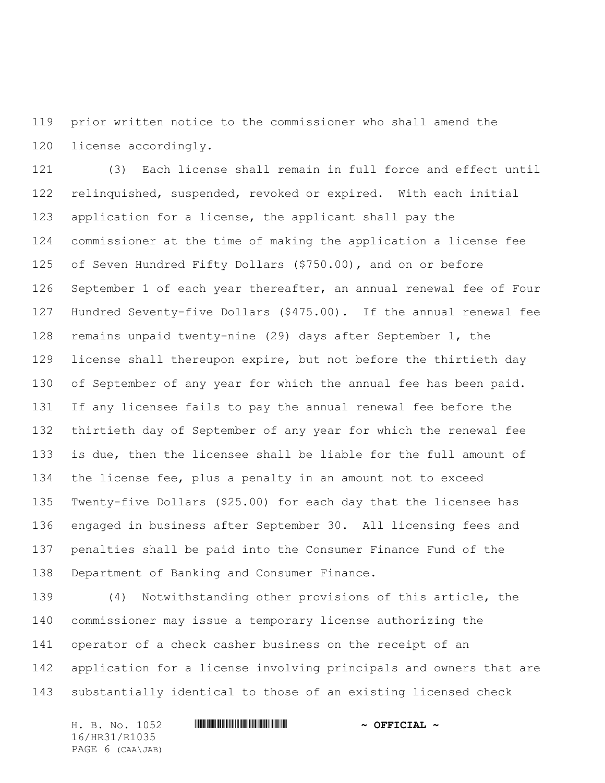prior written notice to the commissioner who shall amend the license accordingly.

 (3) Each license shall remain in full force and effect until relinquished, suspended, revoked or expired. With each initial application for a license, the applicant shall pay the commissioner at the time of making the application a license fee of Seven Hundred Fifty Dollars (\$750.00), and on or before September 1 of each year thereafter, an annual renewal fee of Four Hundred Seventy-five Dollars (\$475.00). If the annual renewal fee remains unpaid twenty-nine (29) days after September 1, the license shall thereupon expire, but not before the thirtieth day 130 of September of any year for which the annual fee has been paid. If any licensee fails to pay the annual renewal fee before the thirtieth day of September of any year for which the renewal fee is due, then the licensee shall be liable for the full amount of the license fee, plus a penalty in an amount not to exceed Twenty-five Dollars (\$25.00) for each day that the licensee has engaged in business after September 30. All licensing fees and penalties shall be paid into the Consumer Finance Fund of the Department of Banking and Consumer Finance.

 (4) Notwithstanding other provisions of this article, the commissioner may issue a temporary license authorizing the operator of a check casher business on the receipt of an application for a license involving principals and owners that are substantially identical to those of an existing licensed check

H. B. No. 1052 **. AND AND AN ADDRESS FOR A STATE OF PETCIAL ~** 16/HR31/R1035 PAGE 6 (CAA\JAB)